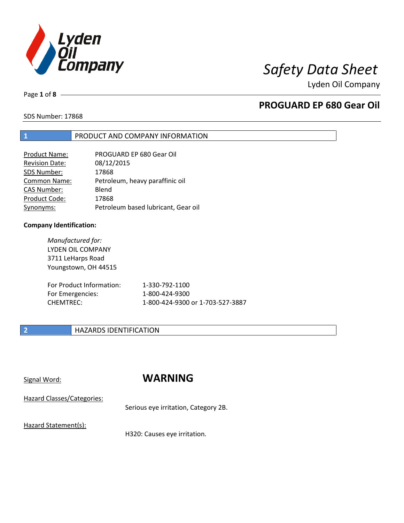

Page **1** of **8**

# **PROGUARD EP 680 Gear Oil**

SDS Number: 17868

## **1** PRODUCT AND COMPANY INFORMATION

| <b>Product Name:</b>  | PROGUARD EP 680 Gear Oil            |
|-----------------------|-------------------------------------|
| <b>Revision Date:</b> | 08/12/2015                          |
| SDS Number:           | 17868                               |
| Common Name:          | Petroleum, heavy paraffinic oil     |
| CAS Number:           | Blend                               |
| Product Code:         | 17868                               |
| Synonyms:             | Petroleum based lubricant, Gear oil |

## **Company Identification:**

*Manufactured for:* LYDEN OIL COMPANY 3711 LeHarps Road Youngstown, OH 44515

| For Product Information: | 1-330-792-1100                   |
|--------------------------|----------------------------------|
| For Emergencies:         | 1-800-424-9300                   |
| CHEMTREC:                | 1-800-424-9300 or 1-703-527-3887 |

## **2 HAZARDS IDENTIFICATION**

# Signal Word: **WARNING**

Hazard Classes/Categories:

Serious eye irritation, Category 2B.

Hazard Statement(s):

H320: Causes eye irritation.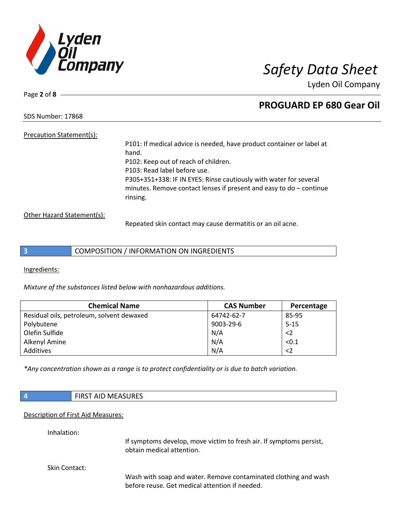

Page **2** of **8**

# **PROGUARD EP 680 Gear Oil**

SDS Number: 17868

Precaution Statement(s): P101: If medical advice is needed, have product container or label at hand. P102: Keep out of reach of children. P103: Read label before use. P305+351+338: IF IN EYES: Rinse cautiously with water for several minutes. Remove contact lenses if present and easy to do – continue rinsing.

Other Hazard Statement(s):

Repeated skin contact may cause dermatitis or an oil acne.

**3** COMPOSITION / INFORMATION ON INGREDIENTS

Ingredients:

*Mixture of the substances listed below with nonhazardous additions.*

| <b>Chemical Name</b>                      | <b>CAS Number</b> | Percentage |
|-------------------------------------------|-------------------|------------|
| Residual oils, petroleum, solvent dewaxed | 64742-62-7        | 85-95      |
| Polybutene                                | 9003-29-6         | $5 - 15$   |
| Olefin Sulfide                            | N/A               | $\leq$     |
| Alkenyl Amine                             | N/A               | < 0.1      |
| Additives                                 | N/A               | $<$ 2      |

*\*Any concentration shown as a range is to protect confidentiality or is due to batch variation.*

|               | <b>FIRST AID MEASURES</b>                                                                        |
|---------------|--------------------------------------------------------------------------------------------------|
|               | Description of First Aid Measures:                                                               |
| Inhalation:   | If symptoms develop, move victim to fresh air. If symptoms persist,<br>obtain medical attention. |
| Skin Contact: | Wash with soan and water Remove contaminated clothing and wash                                   |

Wash with soap and water. Remove contaminated clothing and wash before reuse. Get medical attention if needed.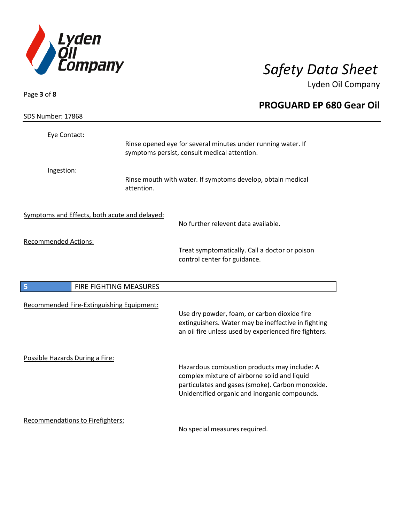

| Page $3$ of $8$ -                             |            |                                                                                                                                                                                                   |  |
|-----------------------------------------------|------------|---------------------------------------------------------------------------------------------------------------------------------------------------------------------------------------------------|--|
| SDS Number: 17868                             |            | <b>PROGUARD EP 680 Gear Oil</b>                                                                                                                                                                   |  |
|                                               |            |                                                                                                                                                                                                   |  |
| Eye Contact:                                  |            | Rinse opened eye for several minutes under running water. If<br>symptoms persist, consult medical attention.                                                                                      |  |
| Ingestion:                                    | attention. | Rinse mouth with water. If symptoms develop, obtain medical                                                                                                                                       |  |
| Symptoms and Effects, both acute and delayed: |            | No further relevent data available.                                                                                                                                                               |  |
| <b>Recommended Actions:</b>                   |            | Treat symptomatically. Call a doctor or poison<br>control center for guidance.                                                                                                                    |  |
| FIRE FIGHTING MEASURES<br>5                   |            |                                                                                                                                                                                                   |  |
| Recommended Fire-Extinguishing Equipment:     |            | Use dry powder, foam, or carbon dioxide fire<br>extinguishers. Water may be ineffective in fighting<br>an oil fire unless used by experienced fire fighters.                                      |  |
| Possible Hazards During a Fire:               |            | Hazardous combustion products may include: A<br>complex mixture of airborne solid and liquid<br>particulates and gases (smoke). Carbon monoxide.<br>Unidentified organic and inorganic compounds. |  |
| Recommendations to Firefighters:              |            | No special measures required.                                                                                                                                                                     |  |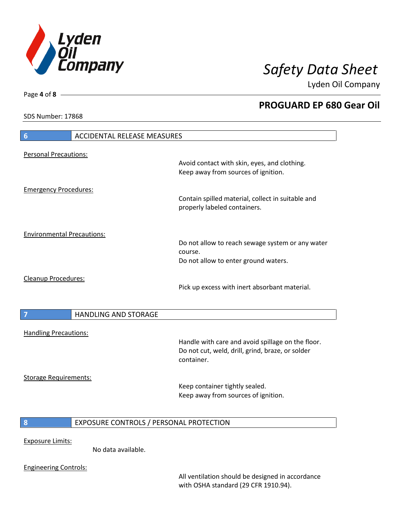

**PROGUARD EP 680 Gear Oil**

Lyden Oil Company

SDS Number: 17868

Page **4** of **8**

# **6** ACCIDENTAL RELEASE MEASURES Personal Precautions: Avoid contact with skin, eyes, and clothing. Keep away from sources of ignition. Emergency Procedures: Contain spilled material, collect in suitable and properly labeled containers. Environmental Precautions: Do not allow to reach sewage system or any water course. Do not allow to enter ground waters. Cleanup Procedures: Pick up excess with inert absorbant material. **7 HANDLING AND STORAGE** Handling Precautions: Handle with care and avoid spillage on the floor. Do not cut, weld, drill, grind, braze, or solder container. Storage Requirements: Keep container tightly sealed. Keep away from sources of ignition. **8** EXPOSURE CONTROLS / PERSONAL PROTECTION Exposure Limits: No data available.

Engineering Controls:

All ventilation should be designed in accordance with OSHA standard (29 CFR 1910.94).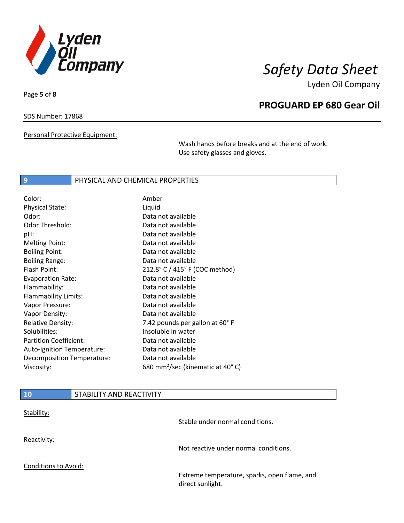

Page **5** of **8**

## **PROGUARD EP 680 Gear Oil**

SDS Number: 17868

Personal Protective Equipment:

Wash hands before breaks and at the end of work. Use safety glasses and gloves.

## **9** PHYSICAL AND CHEMICAL PROPERTIES

| Color:                        | Amber                                        |
|-------------------------------|----------------------------------------------|
| <b>Physical State:</b>        | Liquid                                       |
| Odor:                         | Data not available                           |
| Odor Threshold:               | Data not available                           |
| pH:                           | Data not available                           |
| <b>Melting Point:</b>         | Data not available                           |
| <b>Boiling Point:</b>         | Data not available                           |
| <b>Boiling Range:</b>         | Data not available                           |
| Flash Point:                  | 212.8° C / 415° F (COC method)               |
| <b>Evaporation Rate:</b>      | Data not available                           |
| Flammability:                 | Data not available                           |
| Flammability Limits:          | Data not available                           |
| Vapor Pressure:               | Data not available                           |
| Vapor Density:                | Data not available                           |
| <b>Relative Density:</b>      | 7.42 pounds per gallon at 60°F               |
| Solubilities:                 | Insoluble in water                           |
| <b>Partition Coefficient:</b> | Data not available                           |
| Auto-Ignition Temperature:    | Data not available                           |
| Decomposition Temperature:    | Data not available                           |
| Viscosity:                    | 680 mm <sup>2</sup> /sec (kinematic at 40°C) |

| <b>10</b>            | STABILITY AND REACTIVITY |                                              |
|----------------------|--------------------------|----------------------------------------------|
| Stability:           |                          | Stable under normal conditions.              |
| Reactivity:          |                          | Not reactive under normal conditions.        |
| Conditions to Avoid: |                          | Extreme temperature, sparks, open flame, and |
|                      |                          | direct sunlight.                             |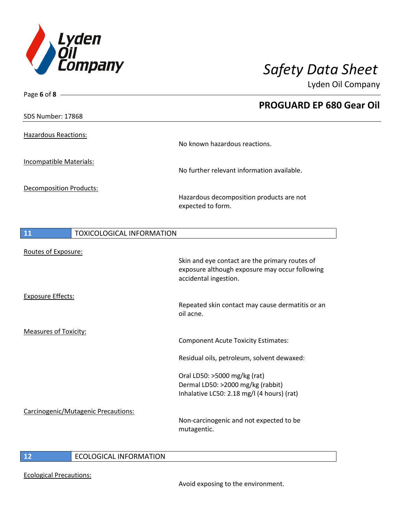

| Page 6 of 8 -                          |                                                                                                                           |
|----------------------------------------|---------------------------------------------------------------------------------------------------------------------------|
|                                        | <b>PROGUARD EP 680 Gear Oil</b>                                                                                           |
| SDS Number: 17868                      |                                                                                                                           |
| <b>Hazardous Reactions:</b>            | No known hazardous reactions.                                                                                             |
| Incompatible Materials:                | No further relevant information available.                                                                                |
| <b>Decomposition Products:</b>         | Hazardous decomposition products are not<br>expected to form.                                                             |
| 11<br><b>TOXICOLOGICAL INFORMATION</b> |                                                                                                                           |
| Routes of Exposure:                    | Skin and eye contact are the primary routes of<br>exposure although exposure may occur following<br>accidental ingestion. |
| <b>Exposure Effects:</b>               | Repeated skin contact may cause dermatitis or an<br>oil acne.                                                             |
| <b>Measures of Toxicity:</b>           | <b>Component Acute Toxicity Estimates:</b>                                                                                |
|                                        | Residual oils, petroleum, solvent dewaxed:                                                                                |
|                                        | Oral LD50: >5000 mg/kg (rat)<br>Dermal LD50: >2000 mg/kg (rabbit)<br>Inhalative LC50: 2.18 mg/l (4 hours) (rat)           |
| Carcinogenic/Mutagenic Precautions:    | Non-carcinogenic and not expected to be<br>mutagentic.                                                                    |

## **12** ECOLOGICAL INFORMATION

Ecological Precautions: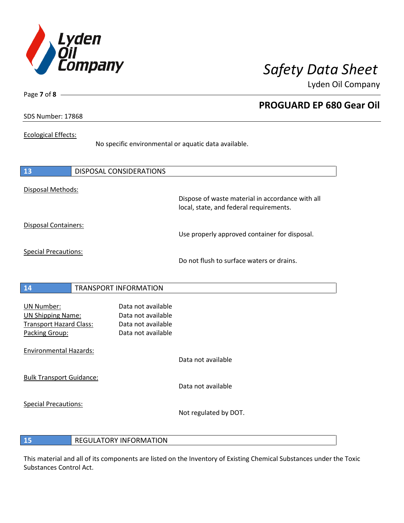

**PROGUARD EP 680 Gear Oil**

Lyden Oil Company

SDS Number: 17868

Page **7** of **8**

## Ecological Effects:

No specific environmental or aquatic data available.

| 13                                                                                                | <b>DISPOSAL CONSIDERATIONS</b>                                                       |                                                                                             |
|---------------------------------------------------------------------------------------------------|--------------------------------------------------------------------------------------|---------------------------------------------------------------------------------------------|
| Disposal Methods:                                                                                 |                                                                                      | Dispose of waste material in accordance with all<br>local, state, and federal requirements. |
| <b>Disposal Containers:</b>                                                                       |                                                                                      | Use properly approved container for disposal.                                               |
| <b>Special Precautions:</b>                                                                       |                                                                                      | Do not flush to surface waters or drains.                                                   |
| 14                                                                                                | <b>TRANSPORT INFORMATION</b>                                                         |                                                                                             |
| <b>UN Number:</b><br><b>UN Shipping Name:</b><br><b>Transport Hazard Class:</b><br>Packing Group: | Data not available<br>Data not available<br>Data not available<br>Data not available |                                                                                             |
| <b>Environmental Hazards:</b>                                                                     |                                                                                      | Data not available                                                                          |
| <b>Bulk Transport Guidance:</b>                                                                   |                                                                                      | Data not available                                                                          |
| <b>Special Precautions:</b>                                                                       |                                                                                      | Not regulated by DOT.                                                                       |

**15** REGULATORY INFORMATION

This material and all of its components are listed on the Inventory of Existing Chemical Substances under the Toxic Substances Control Act.